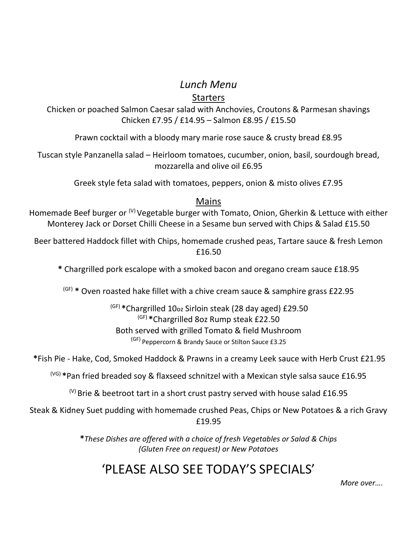## Lunch Menu

### **Starters**

Chicken or poached Salmon Caesar salad with Anchovies, Croutons & Parmesan shavings Chicken £7.95 / £14.95 – Salmon £8.95 / £15.50

Prawn cocktail with a bloody mary marie rose sauce & crusty bread £8.95

Tuscan style Panzanella salad – Heirloom tomatoes, cucumber, onion, basil, sourdough bread, mozzarella and olive oil £6.95

Greek style feta salad with tomatoes, peppers, onion & misto olives £7.95

## Mains

Homemade Beef burger or <sup>(V)</sup> Vegetable burger with Tomato, Onion, Gherkin & Lettuce with either Monterey Jack or Dorset Chilli Cheese in a Sesame bun served with Chips & Salad £15.50

Beer battered Haddock fillet with Chips, homemade crushed peas, Tartare sauce & fresh Lemon £16.50

\* Chargrilled pork escalope with a smoked bacon and oregano cream sauce £18.95

 $(GF)$  \* Oven roasted hake fillet with a chive cream sauce & samphire grass £22.95

 $(GF) *$ Chargrilled 10oz Sirloin steak (28 day aged) £29.50 (GF) \*Chargrilled 8oz Rump steak £22.50 Both served with grilled Tomato & field Mushroom <sup>(GF)</sup> Peppercorn & Brandy Sauce or Stilton Sauce £3.25

\*Fish Pie - Hake, Cod, Smoked Haddock & Prawns in a creamy Leek sauce with Herb Crust £21.95

 $(VG)$  \*Pan fried breaded soy & flaxseed schnitzel with a Mexican style salsa sauce £16.95

 $^{(V)}$  Brie & beetroot tart in a short crust pastry served with house salad £16.95

Steak & Kidney Suet pudding with homemade crushed Peas, Chips or New Potatoes & a rich Gravy £19.95

> \*These Dishes are offered with a choice of fresh Vegetables or Salad & Chips (Gluten Free on request) or New Potatoes

# 'PLEASE ALSO SEE TODAY'S SPECIALS' More over....